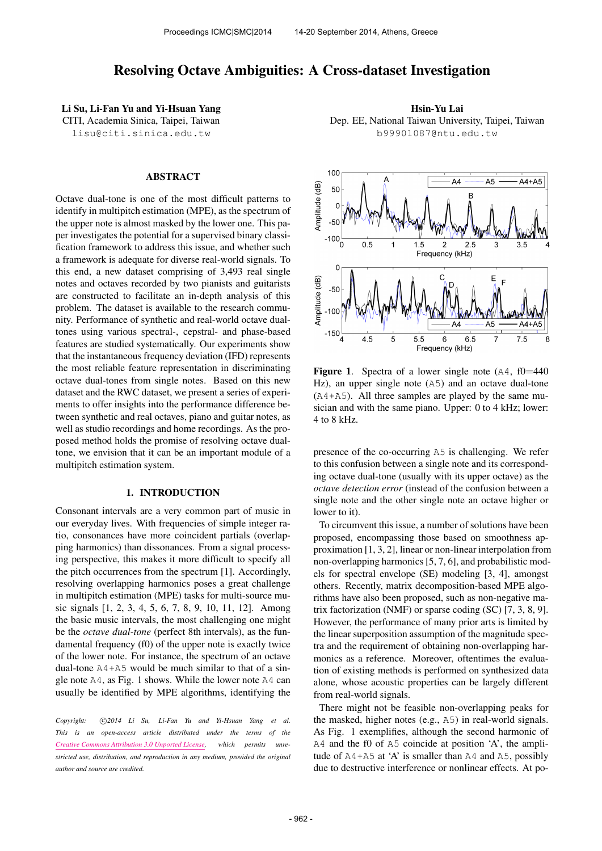# Resolving Octave Ambiguities: A Cross-dataset Investigation

Li Su, Li-Fan Yu and Yi-Hsuan Yang CITI, Academia Sinica, Taipei, Taiwan [lisu@citi.sinica.edu.tw](mailto:author1@smcnetwork.org)

# ABSTRACT

Octave dual-tone is one of the most difficult patterns to identify in multipitch estimation (MPE), as the spectrum of the upper note is almost masked by the lower one. This paper investigates the potential for a supervised binary classification framework to address this issue, and whether such a framework is adequate for diverse real-world signals. To this end, a new dataset comprising of 3,493 real single notes and octaves recorded by two pianists and guitarists are constructed to facilitate an in-depth analysis of this problem. The dataset is available to the research community. Performance of synthetic and real-world octave dualtones using various spectral-, cepstral- and phase-based features are studied systematically. Our experiments show that the instantaneous frequency deviation (IFD) represents the most reliable feature representation in discriminating octave dual-tones from single notes. Based on this new dataset and the RWC dataset, we present a series of experiments to offer insights into the performance difference between synthetic and real octaves, piano and guitar notes, as well as studio recordings and home recordings. As the proposed method holds the promise of resolving octave dualtone, we envision that it can be an important module of a multipitch estimation system.

#### 1. INTRODUCTION

Consonant intervals are a very common part of music in our everyday lives. With frequencies of simple integer ratio, consonances have more coincident partials (overlapping harmonics) than dissonances. From a signal processing perspective, this makes it more difficult to specify all the pitch occurrences from the spectrum [1]. Accordingly, resolving overlapping harmonics poses a great challenge in multipitch estimation (MPE) tasks for multi-source music signals [1, 2, 3, 4, 5, 6, 7, 8, 9, 10, 11, 12]. Among the basic music intervals, the most challenging one might be the *octave dual-tone* (perfect 8th intervals), as the fundamental frequency (f0) of the upper note is exactly twice of the lower note. For instance, the spectrum of an octave dual-tone A4+A5 would be much similar to that of a single note A4, as Fig. 1 shows. While the lower note A4 can usually be identified by MPE algorithms, identifying the

Copyright:  $\bigcirc$ 2014 Li Su, Li-Fan Yu and Yi-Hsuan Yang et al. *This is an open-access article distributed under the terms of the [Creative Commons Attribution 3.0 Unported License,](http://creativecommons.org/licenses/by/3.0/) which permits unrestricted use, distribution, and reproduction in any medium, provided the original author and source are credited.*

Hsin-Yu Lai Dep. EE, National Taiwan University, Taipei, Taiwan [b99901087@ntu.edu.tw](mailto:author2@smcnetwork.org)



**Figure 1.** Spectra of a lower single note  $(A4, f0=440)$ Hz), an upper single note (A5) and an octave dual-tone (A4+A5). All three samples are played by the same musician and with the same piano. Upper: 0 to 4 kHz; lower: 4 to 8 kHz.

presence of the co-occurring A5 is challenging. We refer to this confusion between a single note and its corresponding octave dual-tone (usually with its upper octave) as the *octave detection error* (instead of the confusion between a single note and the other single note an octave higher or lower to it).

To circumvent this issue, a number of solutions have been proposed, encompassing those based on smoothness approximation [1, 3, 2], linear or non-linear interpolation from non-overlapping harmonics [5, 7, 6], and probabilistic models for spectral envelope (SE) modeling [3, 4], amongst others. Recently, matrix decomposition-based MPE algorithms have also been proposed, such as non-negative matrix factorization (NMF) or sparse coding (SC) [7, 3, 8, 9]. However, the performance of many prior arts is limited by the linear superposition assumption of the magnitude spectra and the requirement of obtaining non-overlapping harmonics as a reference. Moreover, oftentimes the evaluation of existing methods is performed on synthesized data alone, whose acoustic properties can be largely different from real-world signals.

There might not be feasible non-overlapping peaks for the masked, higher notes (e.g., A5) in real-world signals. As Fig. 1 exemplifies, although the second harmonic of A4 and the f0 of A5 coincide at position 'A', the amplitude of  $A4+A5$  at 'A' is smaller than  $A4$  and  $A5$ , possibly due to destructive interference or nonlinear effects. At po-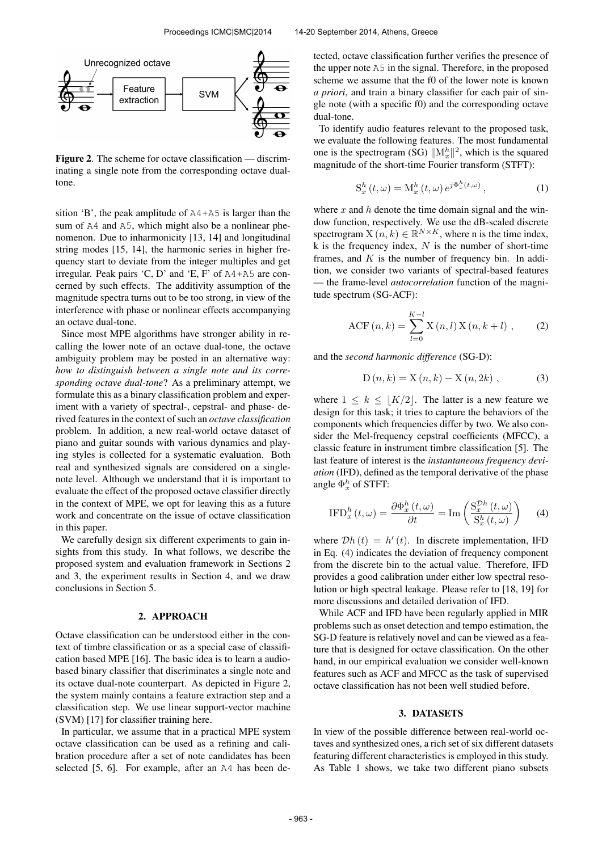

Figure 2. The scheme for octave classification — discriminating a single note from the corresponding octave dualtone.

sition 'B', the peak amplitude of A4+A5 is larger than the sum of A4 and A5, which might also be a nonlinear phenomenon. Due to inharmonicity [13, 14] and longitudinal string modes [15, 14], the harmonic series in higher frequency start to deviate from the integer multiples and get irregular. Peak pairs 'C, D' and 'E, F' of A4+A5 are concerned by such effects. The additivity assumption of the magnitude spectra turns out to be too strong, in view of the interference with phase or nonlinear effects accompanying an octave dual-tone.

Since most MPE algorithms have stronger ability in recalling the lower note of an octave dual-tone, the octave ambiguity problem may be posted in an alternative way: *how to distinguish between a single note and its corresponding octave dual-tone*? As a preliminary attempt, we formulate this as a binary classification problem and experiment with a variety of spectral-, cepstral- and phase- derived features in the context of such an *octave classification* problem. In addition, a new real-world octave dataset of piano and guitar sounds with various dynamics and playing styles is collected for a systematic evaluation. Both real and synthesized signals are considered on a singlenote level. Although we understand that it is important to evaluate the effect of the proposed octave classifier directly in the context of MPE, we opt for leaving this as a future work and concentrate on the issue of octave classification in this paper.

We carefully design six different experiments to gain insights from this study. In what follows, we describe the proposed system and evaluation framework in Sections 2 and 3, the experiment results in Section 4, and we draw conclusions in Section 5.

# 2. APPROACH

Octave classification can be understood either in the context of timbre classification or as a special case of classification based MPE [16]. The basic idea is to learn a audiobased binary classifier that discriminates a single note and its octave dual-note counterpart. As depicted in Figure 2, the system mainly contains a feature extraction step and a classification step. We use linear support-vector machine (SVM) [17] for classifier training here.

In particular, we assume that in a practical MPE system octave classification can be used as a refining and calibration procedure after a set of note candidates has been selected [5, 6]. For example, after an A4 has been detected, octave classification further verifies the presence of the upper note A5 in the signal. Therefore, in the proposed scheme we assume that the f0 of the lower note is known *a priori*, and train a binary classifier for each pair of single note (with a specific f0) and the corresponding octave dual-tone.

To identify audio features relevant to the proposed task, we evaluate the following features. The most fundamental one is the spectrogram (SG)  $\|\mathbf{M}_x^h\|^2$ , which is the squared magnitude of the short-time Fourier transform (STFT):

$$
S_x^h(t,\omega) = M_x^h(t,\omega) e^{j\Phi_x^h(t,\omega)}, \qquad (1)
$$

where x and h denote the time domain signal and the window function, respectively. We use the dB-scaled discrete spectrogram  $X(n, k) \in \mathbb{R}^{N \times K}$ , where n is the time index, k is the frequency index,  $N$  is the number of short-time frames, and  $K$  is the number of frequency bin. In addition, we consider two variants of spectral-based features — the frame-level *autocorrelation* function of the magnitude spectrum (SG-ACF):

ACF 
$$
(n, k) = \sum_{l=0}^{K-l} X(n, l) X(n, k+l)
$$
, (2)

and the *second harmonic difference* (SG-D):

$$
D(n,k) = X(n,k) - X(n,2k) ,
$$
 (3)

where  $1 \leq k \leq |K/2|$ . The latter is a new feature we design for this task; it tries to capture the behaviors of the components which frequencies differ by two. We also consider the Mel-frequency cepstral coefficients (MFCC), a classic feature in instrument timbre classification [5]. The last feature of interest is the *instantaneous frequency deviation* (IFD), defined as the temporal derivative of the phase angle  $\Phi_x^h$  of STFT:

$$
\text{IFD}_x^h(t,\omega) = \frac{\partial \Phi_x^h(t,\omega)}{\partial t} = \text{Im}\left(\frac{\mathcal{S}_x^{Dh}(t,\omega)}{\mathcal{S}_x^h(t,\omega)}\right) \tag{4}
$$

where  $\mathcal{D}h(t) = h'(t)$ . In discrete implementation, IFD in Eq. (4) indicates the deviation of frequency component from the discrete bin to the actual value. Therefore, IFD provides a good calibration under either low spectral resolution or high spectral leakage. Please refer to [18, 19] for more discussions and detailed derivation of IFD.

While ACF and IFD have been regularly applied in MIR problems such as onset detection and tempo estimation, the SG-D feature is relatively novel and can be viewed as a feature that is designed for octave classification. On the other hand, in our empirical evaluation we consider well-known features such as ACF and MFCC as the task of supervised octave classification has not been well studied before.

# 3. DATASETS

In view of the possible difference between real-world octaves and synthesized ones, a rich set of six different datasets featuring different characteristics is employed in this study. As Table 1 shows, we take two different piano subsets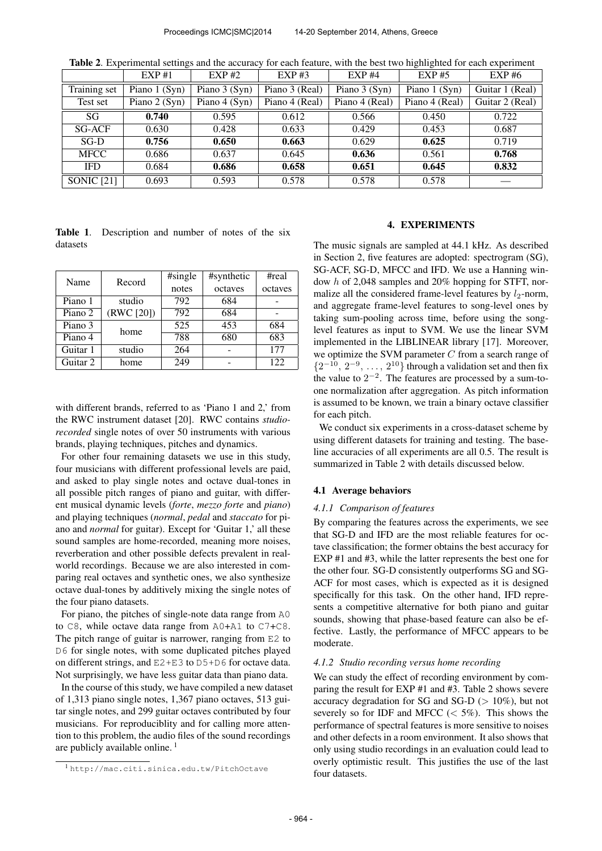Table 2. Experimental settings and the accuracy for each feature, with the best two highlighted for each experiment

|                   | EXP#1          | $EXP$ #2       | $EXP$ #3       | EXP#4          | EXP#5          | EXP#6           |
|-------------------|----------------|----------------|----------------|----------------|----------------|-----------------|
| Training set      | Piano $1(Syn)$ | Piano $3(Syn)$ | Piano 3 (Real) | Piano $3(Syn)$ | Piano 1 (Syn)  | Guitar 1 (Real) |
| Test set          | Piano 2 (Syn)  | Piano $4(Syn)$ | Piano 4 (Real) | Piano 4 (Real) | Piano 4 (Real) | Guitar 2 (Real) |
| SG                | 0.740          | 0.595          | 0.612          | 0.566          | 0.450          | 0.722           |
| SG-ACF            | 0.630          | 0.428          | 0.633          | 0.429          | 0.453          | 0.687           |
| SG-D              | 0.756          | 0.650          | 0.663          | 0.629          | 0.625          | 0.719           |
| <b>MFCC</b>       | 0.686          | 0.637          | 0.645          | 0.636          | 0.561          | 0.768           |
| <b>IFD</b>        | 0.684          | 0.686          | 0.658          | 0.651          | 0.645          | 0.832           |
| <b>SONIC</b> [21] | 0.693          | 0.593          | 0.578          | 0.578          | 0.578          |                 |

|          | Table 1. Description and number of notes of the six |  |  |  |  |
|----------|-----------------------------------------------------|--|--|--|--|
| datasets |                                                     |  |  |  |  |

| Name     | Record     | #single | #synthetic | #real   |  |
|----------|------------|---------|------------|---------|--|
|          |            | notes   | octaves    | octaves |  |
| Piano 1  | studio     | 792     | 684        |         |  |
| Piano 2  | (RWC [20]) | 792     | 684        |         |  |
| Piano 3  | home       | 525     | 453        | 684     |  |
| Piano 4  |            | 788     | 680        | 683     |  |
| Guitar 1 | studio     | 264     |            | 177     |  |
| Guitar 2 | home       | 249     |            | 122     |  |

with different brands, referred to as 'Piano 1 and 2,' from the RWC instrument dataset [20]. RWC contains *studiorecorded* single notes of over 50 instruments with various brands, playing techniques, pitches and dynamics.

For other four remaining datasets we use in this study, four musicians with different professional levels are paid, and asked to play single notes and octave dual-tones in all possible pitch ranges of piano and guitar, with different musical dynamic levels (*forte*, *mezzo forte* and *piano*) and playing techniques (*normal*, *pedal* and *staccato* for piano and *normal* for guitar). Except for 'Guitar 1,' all these sound samples are home-recorded, meaning more noises, reverberation and other possible defects prevalent in realworld recordings. Because we are also interested in comparing real octaves and synthetic ones, we also synthesize octave dual-tones by additively mixing the single notes of the four piano datasets.

For piano, the pitches of single-note data range from A0 to C8, while octave data range from A0+A1 to C7+C8. The pitch range of guitar is narrower, ranging from E2 to D6 for single notes, with some duplicated pitches played on different strings, and E2+E3 to D5+D6 for octave data. Not surprisingly, we have less guitar data than piano data.

In the course of this study, we have compiled a new dataset of 1,313 piano single notes, 1,367 piano octaves, 513 guitar single notes, and 299 guitar octaves contributed by four musicians. For reproduciblity and for calling more attention to this problem, the audio files of the sound recordings are publicly available online. <sup>1</sup>

## 4. EXPERIMENTS

The music signals are sampled at 44.1 kHz. As described in Section 2, five features are adopted: spectrogram (SG), SG-ACF, SG-D, MFCC and IFD. We use a Hanning window h of 2,048 samples and 20% hopping for STFT, normalize all the considered frame-level features by  $l_2$ -norm, and aggregate frame-level features to song-level ones by taking sum-pooling across time, before using the songlevel features as input to SVM. We use the linear SVM implemented in the LIBLINEAR library [17]. Moreover, we optimize the SVM parameter  $C$  from a search range of  $\{2^{-10}, 2^{-9}, \ldots, 2^{10}\}$  through a validation set and then fix the value to  $2^{-2}$ . The features are processed by a sum-toone normalization after aggregation. As pitch information is assumed to be known, we train a binary octave classifier for each pitch.

We conduct six experiments in a cross-dataset scheme by using different datasets for training and testing. The baseline accuracies of all experiments are all 0.5. The result is summarized in Table 2 with details discussed below.

# 4.1 Average behaviors

## *4.1.1 Comparison of features*

By comparing the features across the experiments, we see that SG-D and IFD are the most reliable features for octave classification; the former obtains the best accuracy for EXP #1 and #3, while the latter represents the best one for the other four. SG-D consistently outperforms SG and SG-ACF for most cases, which is expected as it is designed specifically for this task. On the other hand, IFD represents a competitive alternative for both piano and guitar sounds, showing that phase-based feature can also be effective. Lastly, the performance of MFCC appears to be moderate.

#### *4.1.2 Studio recording versus home recording*

We can study the effect of recording environment by comparing the result for EXP #1 and #3. Table 2 shows severe accuracy degradation for SG and SG-D ( $> 10\%$ ), but not severely so for IDF and MFCC  $\left(\langle 5\% \rangle \right)$ . This shows the performance of spectral features is more sensitive to noises and other defects in a room environment. It also shows that only using studio recordings in an evaluation could lead to overly optimistic result. This justifies the use of the last four datasets.

<sup>1</sup> <http://mac.citi.sinica.edu.tw/PitchOctave>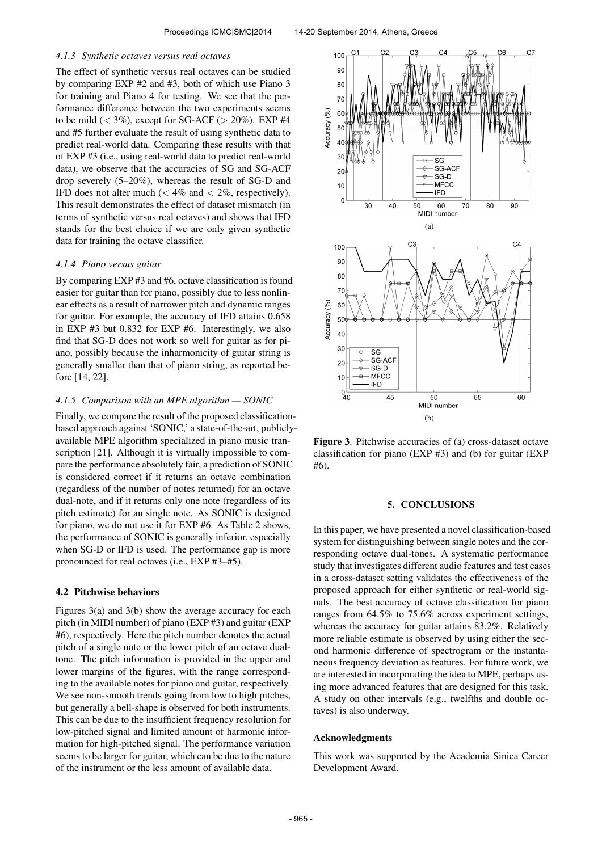#### *4.1.3 Synthetic octaves versus real octaves*

The effect of synthetic versus real octaves can be studied by comparing EXP #2 and #3, both of which use Piano 3 for training and Piano 4 for testing. We see that the performance difference between the two experiments seems to be mild  $(< 3\%)$ , except for SG-ACF  $(> 20\%)$ . EXP #4 and #5 further evaluate the result of using synthetic data to predict real-world data. Comparing these results with that of EXP #3 (i.e., using real-world data to predict real-world data), we observe that the accuracies of SG and SG-ACF drop severely (5–20%), whereas the result of SG-D and IFD does not alter much ( $< 4\%$  and  $< 2\%$ , respectively). This result demonstrates the effect of dataset mismatch (in terms of synthetic versus real octaves) and shows that IFD stands for the best choice if we are only given synthetic data for training the octave classifier.

### *4.1.4 Piano versus guitar*

By comparing EXP #3 and #6, octave classification is found easier for guitar than for piano, possibly due to less nonlinear effects as a result of narrower pitch and dynamic ranges for guitar. For example, the accuracy of IFD attains 0.658 in EXP #3 but 0.832 for EXP #6. Interestingly, we also find that SG-D does not work so well for guitar as for piano, possibly because the inharmonicity of guitar string is generally smaller than that of piano string, as reported before [14, 22].

## *4.1.5 Comparison with an MPE algorithm — SONIC*

Finally, we compare the result of the proposed classificationbased approach against 'SONIC,' a state-of-the-art, publiclyavailable MPE algorithm specialized in piano music transcription [21]. Although it is virtually impossible to compare the performance absolutely fair, a prediction of SONIC is considered correct if it returns an octave combination (regardless of the number of notes returned) for an octave dual-note, and if it returns only one note (regardless of its pitch estimate) for an single note. As SONIC is designed for piano, we do not use it for EXP #6. As Table 2 shows, the performance of SONIC is generally inferior, especially when SG-D or IFD is used. The performance gap is more pronounced for real octaves (i.e., EXP #3–#5).

### 4.2 Pitchwise behaviors

Figures 3(a) and 3(b) show the average accuracy for each pitch (in MIDI number) of piano (EXP #3) and guitar (EXP #6), respectively. Here the pitch number denotes the actual pitch of a single note or the lower pitch of an octave dualtone. The pitch information is provided in the upper and lower margins of the figures, with the range corresponding to the available notes for piano and guitar, respectively. We see non-smooth trends going from low to high pitches, but generally a bell-shape is observed for both instruments. This can be due to the insufficient frequency resolution for low-pitched signal and limited amount of harmonic information for high-pitched signal. The performance variation seems to be larger for guitar, which can be due to the nature of the instrument or the less amount of available data.



Figure 3. Pitchwise accuracies of (a) cross-dataset octave classification for piano (EXP #3) and (b) for guitar (EXP #6).

# 5. CONCLUSIONS

In this paper, we have presented a novel classification-based system for distinguishing between single notes and the corresponding octave dual-tones. A systematic performance study that investigates different audio features and test cases in a cross-dataset setting validates the effectiveness of the proposed approach for either synthetic or real-world signals. The best accuracy of octave classification for piano ranges from 64.5% to 75.6% across experiment settings, whereas the accuracy for guitar attains 83.2%. Relatively more reliable estimate is observed by using either the second harmonic difference of spectrogram or the instantaneous frequency deviation as features. For future work, we are interested in incorporating the idea to MPE, perhaps using more advanced features that are designed for this task. A study on other intervals (e.g., twelfths and double octaves) is also underway.

# Acknowledgments

This work was supported by the Academia Sinica Career Development Award.